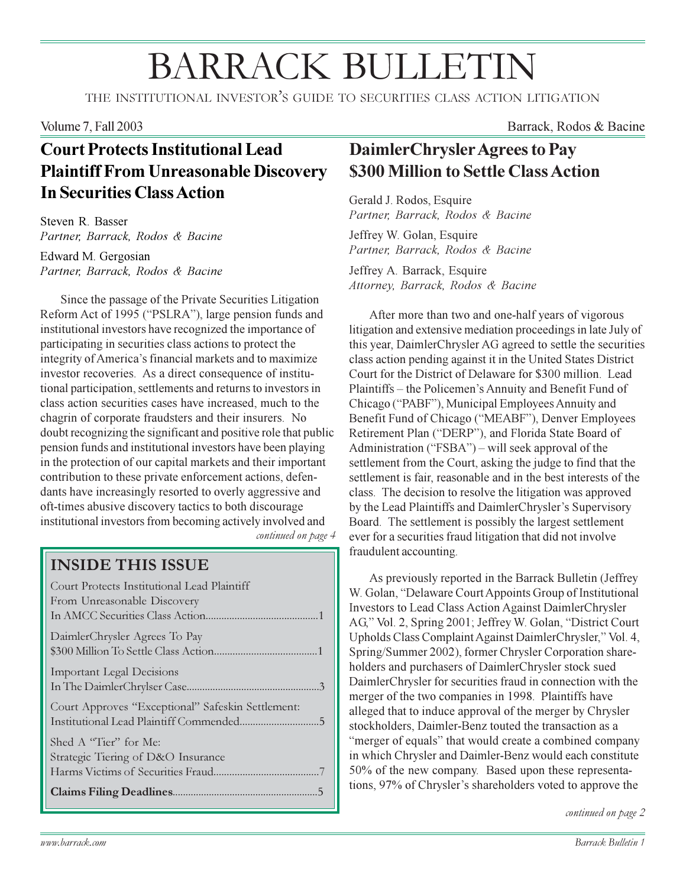# **BARRACK BULLETIN**

THE INSTITUTIONAL INVESTOR'S GUIDE TO SECURITIES CLASS ACTION LITIGATION

#### **Volume 7, Fall 2003**

## **Court Protects Institutional Lead Plaintiff From Unreasonable Discovery In Securities Class Action**

Steven R. Basser Partner, Barrack, Rodos & Bacine

Edward M. Gergosian Partner, Barrack, Rodos & Bacine

Since the passage of the Private Securities Litigation Reform Act of 1995 ("PSLRA"), large pension funds and institutional investors have recognized the importance of participating in securities class actions to protect the integrity of America's financial markets and to maximize investor recoveries. As a direct consequence of institutional participation, settlements and returns to investors in class action securities cases have increased, much to the chagrin of corporate fraudsters and their insurers. No doubt recognizing the significant and positive role that public pension funds and institutional investors have been playing in the protection of our capital markets and their important contribution to these private enforcement actions, defendants have increasingly resorted to overly aggressive and oft-times abusive discovery tactics to both discourage institutional investors from becoming actively involved and

continued on page 4

#### **INSIDE THIS ISSUE**

| Court Protects Institutional Lead Plaintiff<br>From Unreasonable Discovery |
|----------------------------------------------------------------------------|
| DaimlerChrysler Agrees To Pay                                              |
| <b>Important Legal Decisions</b>                                           |
| Court Approves "Exceptional" Safeskin Settlement:                          |
| Shed A "Tier" for Me:<br>Strategic Tiering of D&O Insurance                |
|                                                                            |

Barrack, Rodos & Bacine

## DaimlerChrysler Agrees to Pay \$300 Million to Settle Class Action

Gerald J. Rodos, Esquire Partner, Barrack, Rodos & Bacine

Jeffrey W. Golan, Esquire Partner, Barrack, Rodos & Bacine

Jeffrey A. Barrack, Esquire Attorney, Barrack, Rodos & Bacine

After more than two and one-half years of vigorous litigation and extensive mediation proceedings in late July of this year, DaimlerChrysler AG agreed to settle the securities class action pending against it in the United States District Court for the District of Delaware for \$300 million. Lead Plaintiffs – the Policemen's Annuity and Benefit Fund of Chicago ("PABF"), Municipal Employees Annuity and Benefit Fund of Chicago ("MEABF"), Denver Employees Retirement Plan ("DERP"), and Florida State Board of Administration ("FSBA") – will seek approval of the settlement from the Court, asking the judge to find that the settlement is fair reasonable and in the best interests of the class. The decision to resolve the litigation was approved by the Lead Plaintiffs and DaimlerChrysler's Supervisory Board. The settlement is possibly the largest settlement ever for a securities fraud litigation that did not involve fraudulent accounting.

As previously reported in the Barrack Bulletin (Jeffrey) W. Golan, "Delaware Court Appoints Group of Institutional Investors to Lead Class Action Against DaimlerChrysler AG," Vol. 2, Spring 2001; Jeffrey W. Golan, "District Court Upholds Class Complaint Against DaimlerChrysler," Vol. 4, Spring/Summer 2002), former Chrysler Corporation shareholders and purchasers of DaimlerChrysler stock sued DaimlerChrysler for securities fraud in connection with the merger of the two companies in 1998. Plaintiffs have alleged that to induce approval of the merger by Chrysler stockholders, Daimler-Benz touted the transaction as a "merger of equals" that would create a combined company in which Chrysler and Daimler-Benz would each constitute 50% of the new company. Based upon these representations, 97% of Chrysler's shareholders voted to approve the

continued on page 2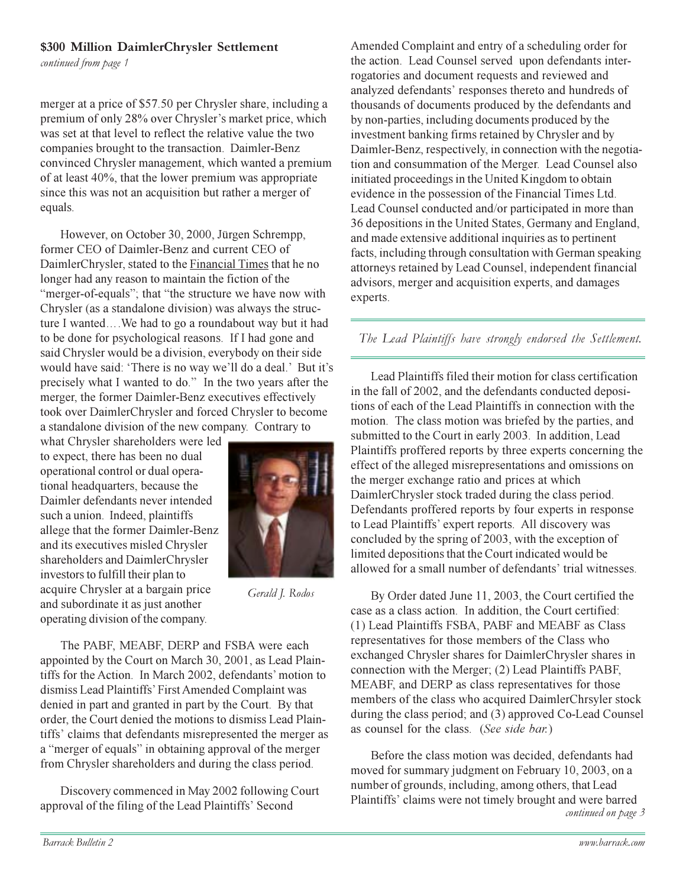#### \$300 Million DaimlerChrysler Settlement

continued from page 1

merger at a price of \$57.50 per Chrysler share, including a premium of only 28% over Chrysler's market price, which was set at that level to reflect the relative value the two companies brought to the transaction. Daimler-Benz convinced Chrysler management, which wanted a premium of at least 40%, that the lower premium was appropriate since this was not an acquisition but rather a merger of equals.

However, on October 30, 2000, Jürgen Schrempp, former CEO of Daimler-Benz and current CEO of DaimlerChrysler, stated to the Financial Times that he no longer had any reason to maintain the fiction of the "merger-of-equals"; that "the structure we have now with Chrysler (as a standalone division) was always the structure I wanted....We had to go a roundabout way but it had to be done for psychological reasons. If I had gone and said Chrysler would be a division, everybody on their side would have said: 'There is no way we'll do a deal.' But it's precisely what I wanted to do." In the two years after the merger, the former Daimler-Benz executives effectively took over DaimlerChrysler and forced Chrysler to become a standalone division of the new company. Contrary to

what Chrysler shareholders were led to expect, there has been no dual operational control or dual operational headquarters, because the Daimler defendants never intended such a union. Indeed, plaintiffs allege that the former Daimler-Benz and its executives misled Chrysler shareholders and DaimlerChrysler investors to fulfill their plan to acquire Chrysler at a bargain price and subordinate it as just another operating division of the company.



Gerald J. Rodos

The PABF, MEABF, DERP and FSBA were each appointed by the Court on March 30, 2001, as Lead Plaintiffs for the Action. In March 2002, defendants' motion to dismiss Lead Plaintiffs' First Amended Complaint was denied in part and granted in part by the Court. By that order, the Court denied the motions to dismiss Lead Plaintiffs' claims that defendants misrepresented the merger as a "merger of equals" in obtaining approval of the merger from Chrysler shareholders and during the class period.

Discovery commenced in May 2002 following Court approval of the filing of the Lead Plaintiffs' Second

Amended Complaint and entry of a scheduling order for the action. Lead Counsel served upon defendants interrogatories and document requests and reviewed and analyzed defendants' responses thereto and hundreds of thousands of documents produced by the defendants and by non-parties, including documents produced by the investment banking firms retained by Chrysler and by Daimler-Benz, respectively, in connection with the negotiation and consummation of the Merger. Lead Counsel also initiated proceedings in the United Kingdom to obtain evidence in the possession of the Financial Times Ltd. Lead Counsel conducted and/or participated in more than 36 depositions in the United States, Germany and England. and made extensive additional inquiries as to pertinent facts, including through consultation with German speaking attorneys retained by Lead Counsel, independent financial advisors, merger and acquisition experts, and damages experts.

#### The Lead Plaintiffs have strongly endorsed the Settlement.

Lead Plaintiffs filed their motion for class certification in the fall of 2002, and the defendants conducted depositions of each of the Lead Plaintiffs in connection with the motion. The class motion was briefed by the parties, and submitted to the Court in early 2003. In addition, Lead Plaintiffs proffered reports by three experts concerning the effect of the alleged misrepresentations and omissions on the merger exchange ratio and prices at which DaimlerChrysler stock traded during the class period. Defendants proffered reports by four experts in response to Lead Plaintiffs' expert reports. All discovery was concluded by the spring of 2003, with the exception of limited depositions that the Court indicated would be allowed for a small number of defendants' trial witnesses.

By Order dated June 11, 2003, the Court certified the case as a class action. In addition, the Court certified: (1) Lead Plaintiffs FSBA, PABF and MEABF as Class representatives for those members of the Class who exchanged Chrysler shares for DaimlerChrysler shares in connection with the Merger; (2) Lead Plaintiffs PABF, MEABF, and DERP as class representatives for those members of the class who acquired DaimlerChrsyler stock during the class period; and (3) approved Co-Lead Counsel as counsel for the class. (See side bar.)

Before the class motion was decided, defendants had moved for summary judgment on February 10, 2003, on a number of grounds, including, among others, that Lead Plaintiffs' claims were not timely brought and were barred continued on page 3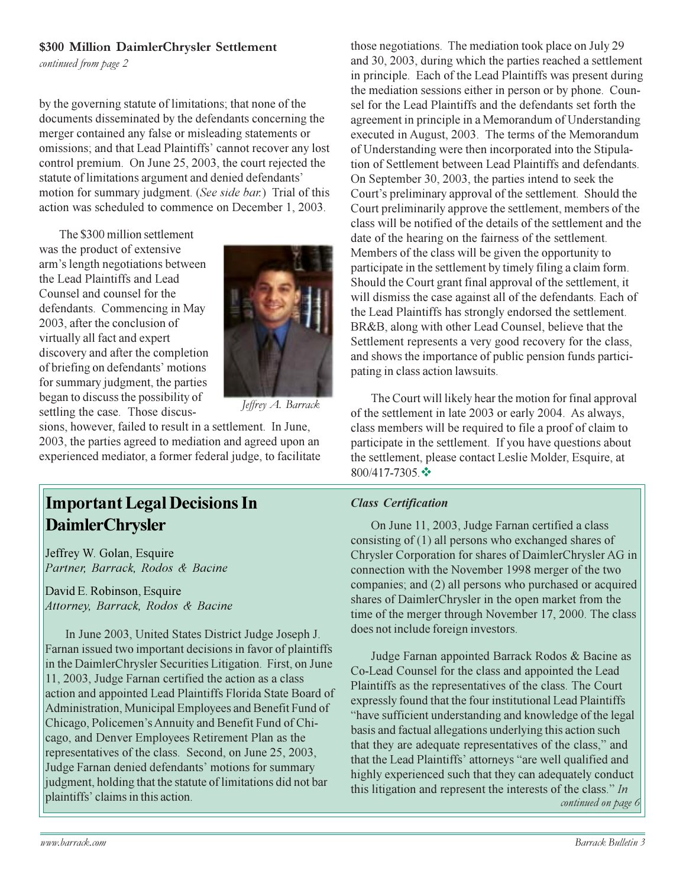#### \$300 Million DaimlerChrysler Settlement

continued from page 2

by the governing statute of limitations; that none of the documents disseminated by the defendants concerning the merger contained any false or misleading statements or omissions; and that Lead Plaintiffs' cannot recover any lost control premium. On June 25, 2003, the court rejected the statute of limitations argument and denied defendants' motion for summary judgment. (See side bar.) Trial of this action was scheduled to commence on December 1, 2003.

The \$300 million settlement was the product of extensive arm's length negotiations between the Lead Plaintiffs and Lead Counsel and counsel for the defendants. Commencing in May 2003, after the conclusion of virtually all fact and expert discovery and after the completion of briefing on defendants' motions for summary judgment, the parties began to discuss the possibility of settling the case. Those discus-



Jeffrey A. Barrack

sions, however, failed to result in a settlement. In June, 2003, the parties agreed to mediation and agreed upon an experienced mediator, a former federal judge, to facilitate

## **Important Legal Decisions In DaimlerChrysler**

Jeffrey W. Golan, Esquire Partner, Barrack, Rodos & Bacine

David E. Robinson, Esquire Attorney, Barrack, Rodos & Bacine

In June 2003, United States District Judge Joseph J. Farnan issued two important decisions in favor of plaintiffs in the DaimlerChrysler Securities Litigation. First, on June 11, 2003, Judge Farnan certified the action as a class action and appointed Lead Plaintiffs Florida State Board of Administration, Municipal Employees and Benefit Fund of Chicago, Policemen's Annuity and Benefit Fund of Chicago, and Denver Employees Retirement Plan as the representatives of the class. Second, on June 25, 2003, Judge Farnan denied defendants' motions for summary judgment, holding that the statute of limitations did not bar plaintiffs' claims in this action.

those negotiations. The mediation took place on July 29 and 30, 2003, during which the parties reached a settlement in principle. Each of the Lead Plaintiffs was present during the mediation sessions either in person or by phone. Counsel for the Lead Plaintiffs and the defendants set forth the agreement in principle in a Memorandum of Understanding executed in August, 2003. The terms of the Memorandum of Understanding were then incorporated into the Stipulation of Settlement between Lead Plaintiffs and defendants. On September 30, 2003, the parties intend to seek the Court's preliminary approval of the settlement. Should the Court preliminarily approve the settlement, members of the class will be notified of the details of the settlement and the date of the hearing on the fairness of the settlement. Members of the class will be given the opportunity to participate in the settlement by timely filing a claim form. Should the Court grant final approval of the settlement, it will dismiss the case against all of the defendants. Each of the Lead Plaintiffs has strongly endorsed the settlement. BR&B, along with other Lead Counsel, believe that the Settlement represents a very good recovery for the class, and shows the importance of public pension funds participating in class action lawsuits.

The Court will likely hear the motion for final approval of the settlement in late 2003 or early 2004. As always, class members will be required to file a proof of claim to participate in the settlement. If you have questions about the settlement, please contact Leslie Molder, Esquire, at 800/417-7305. ❖

#### **Class Certification**

On June 11, 2003, Judge Farnan certified a class consisting of  $(1)$  all persons who exchanged shares of Chrysler Corporation for shares of DaimlerChrysler AG in connection with the November 1998 merger of the two companies; and (2) all persons who purchased or acquired shares of DaimlerChrysler in the open market from the time of the merger through November 17, 2000. The class does not include foreign investors.

Judge Farnan appointed Barrack Rodos & Bacine as Co-Lead Counsel for the class and appointed the Lead Plaintiffs as the representatives of the class. The Court expressly found that the four institutional Lead Plaintiffs "have sufficient understanding and knowledge of the legal basis and factual allegations underlying this action such that they are adequate representatives of the class," and that the Lead Plaintiffs' attorneys "are well qualified and highly experienced such that they can adequately conduct this litigation and represent the interests of the class."  $In$ continued on page 6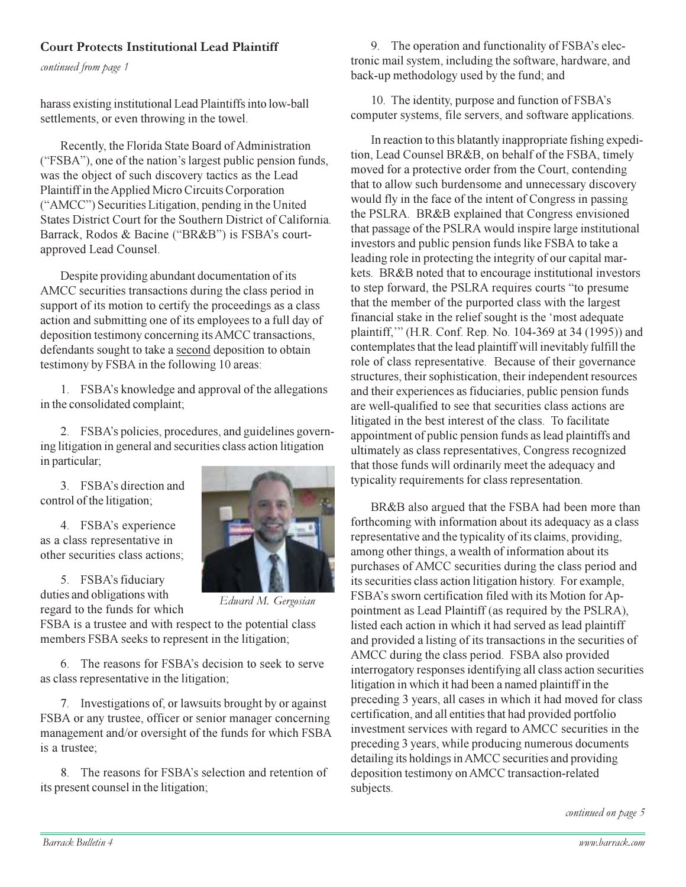#### **Court Protects Institutional Lead Plaintiff**

continued from page 1

harass existing institutional Lead Plaintiffs into low-ball settlements, or even throwing in the towel.

Recently, the Florida State Board of Administration ("FSBA"), one of the nation's largest public pension funds, was the object of such discovery tactics as the Lead Plaintiff in the Applied Micro Circuits Corporation ("AMCC") Securities Litigation, pending in the United States District Court for the Southern District of California. Barrack, Rodos & Bacine ("BR&B") is FSBA's courtapproved Lead Counsel.

Despite providing abundant documentation of its AMCC securities transactions during the class period in support of its motion to certify the proceedings as a class action and submitting one of its employees to a full day of deposition testimony concerning its AMCC transactions, defendants sought to take a second deposition to obtain testimony by FSBA in the following 10 areas:

1. FSBA's knowledge and approval of the allegations in the consolidated complaint;

2. FSBA's policies, procedures, and guidelines governing litigation in general and securities class action litigation in particular;

3. FSBA's direction and control of the litigation;

4. FSBA's experience as a class representative in other securities class actions;

5. FSBA's fiduciary duties and obligations with regard to the funds for which



Edward M. Gergosian

FSBA is a trustee and with respect to the potential class members FSBA seeks to represent in the litigation;

6. The reasons for FSBA's decision to seek to serve as class representative in the litigation;

7. Investigations of, or lawsuits brought by or against FSBA or any trustee, officer or senior manager concerning management and/or oversight of the funds for which FSBA is a trustee:

8. The reasons for FSBA's selection and retention of its present counsel in the litigation;

9. The operation and functionality of FSBA's electronic mail system, including the software, hardware, and back-up methodology used by the fund; and

10. The identity, purpose and function of FSBA's computer systems, file servers, and software applications.

In reaction to this blatantly inappropriate fishing expedition, Lead Counsel BR&B, on behalf of the FSBA, timely moved for a protective order from the Court, contending that to allow such burdensome and unnecessary discovery would fly in the face of the intent of Congress in passing the PSLRA. BR&B explained that Congress envisioned that passage of the PSLRA would inspire large institutional investors and public pension funds like FSBA to take a leading role in protecting the integrity of our capital markets. BR&B noted that to encourage institutional investors to step forward, the PSLRA requires courts "to presume that the member of the purported class with the largest financial stake in the relief sought is the 'most adequate plaintiff," (H.R. Conf. Rep. No. 104-369 at 34 (1995)) and contemplates that the lead plaintiff will inevitably fulfill the role of class representative. Because of their governance structures, their sophistication, their independent resources and their experiences as fiduciaries, public pension funds are well-qualified to see that securities class actions are litigated in the best interest of the class. To facilitate appointment of public pension funds as lead plaintiffs and ultimately as class representatives, Congress recognized that those funds will ordinarily meet the adequacy and typicality requirements for class representation.

BR&B also argued that the FSBA had been more than forthcoming with information about its adequacy as a class representative and the typicality of its claims, providing, among other things, a wealth of information about its purchases of AMCC securities during the class period and its securities class action litigation history. For example, FSBA's sworn certification filed with its Motion for Appointment as Lead Plaintiff (as required by the PSLRA), listed each action in which it had served as lead plaintiff and provided a listing of its transactions in the securities of AMCC during the class period. FSBA also provided interrogatory responses identifying all class action securities litigation in which it had been a named plaintiff in the preceding 3 years, all cases in which it had moved for class certification, and all entities that had provided portfolio investment services with regard to AMCC securities in the preceding 3 years, while producing numerous documents detailing its holdings in AMCC securities and providing deposition testimony on AMCC transaction-related subjects.

continued on page 5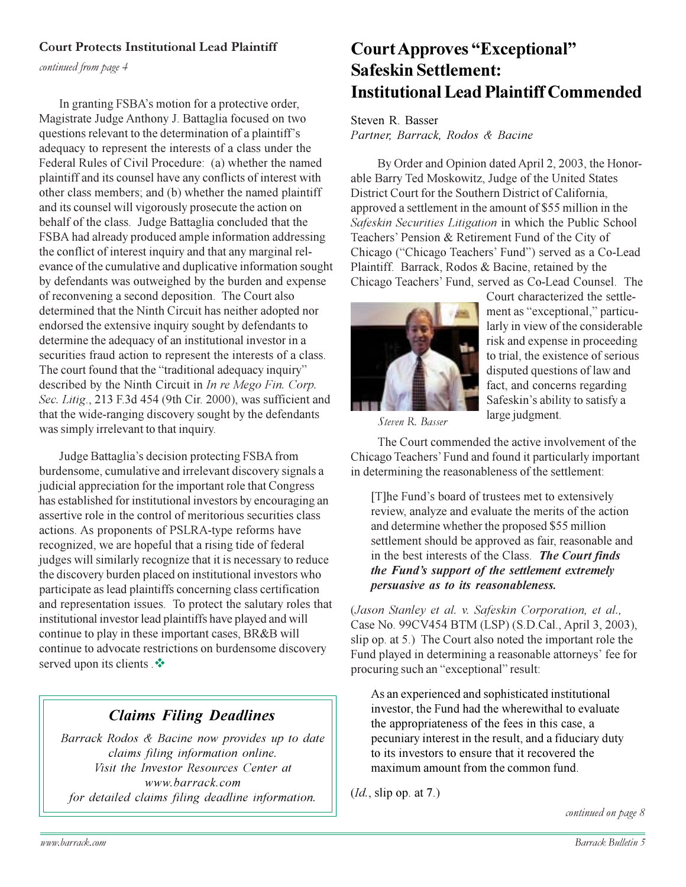#### **Court Protects Institutional Lead Plaintiff**

continued from page 4

In granting FSBA's motion for a protective order, Magistrate Judge Anthony J. Battaglia focused on two questions relevant to the determination of a plaintiff's adequacy to represent the interests of a class under the Federal Rules of Civil Procedure: (a) whether the named plaintiff and its counsel have any conflicts of interest with other class members; and (b) whether the named plaintiff and its counsel will vigorously prosecute the action on behalf of the class. Judge Battaglia concluded that the FSBA had already produced ample information addressing the conflict of interest inquiry and that any marginal relevance of the cumulative and duplicative information sought by defendants was outweighed by the burden and expense of reconvening a second deposition. The Court also determined that the Ninth Circuit has neither adopted nor endorsed the extensive inquiry sought by defendants to determine the adequacy of an institutional investor in a securities fraud action to represent the interests of a class. The court found that the "traditional adequacy inquiry" described by the Ninth Circuit in In re Mego Fin. Corp. Sec. Litig., 213 F.3d 454 (9th Cir. 2000), was sufficient and that the wide-ranging discovery sought by the defendants was simply irrelevant to that inquiry.

Judge Battaglia's decision protecting FSBA from burdensome, cumulative and irrelevant discovery signals a judicial appreciation for the important role that Congress has established for institutional investors by encouraging an assertive role in the control of meritorious securities class actions. As proponents of PSLRA-type reforms have recognized, we are hopeful that a rising tide of federal judges will similarly recognize that it is necessary to reduce the discovery burden placed on institutional investors who participate as lead plaintiffs concerning class certification and representation issues. To protect the salutary roles that institutional investor lead plaintiffs have played and will continue to play in these important cases, BR&B will continue to advocate restrictions on burdensome discovery served upon its clients .\*

### **Claims Filing Deadlines**

Barrack Rodos & Bacine now provides up to date claims filing information online. Visit the Investor Resources Center at www.barrack.com for detailed claims filing deadline information.

## **Court Approves "Exceptional" Safeskin Settlement: Institutional Lead Plaintiff Commended**

Steven R. Basser Partner, Barrack, Rodos & Bacine

By Order and Opinion dated April 2, 2003, the Honorable Barry Ted Moskowitz, Judge of the United States District Court for the Southern District of California. approved a settlement in the amount of \$55 million in the Safeskin Securities Litigation in which the Public School Teachers' Pension & Retirement Fund of the City of Chicago ("Chicago Teachers' Fund") served as a Co-Lead Plaintiff. Barrack, Rodos & Bacine, retained by the Chicago Teachers' Fund, served as Co-Lead Counsel. The



Court characterized the settlement as "exceptional," particularly in view of the considerable risk and expense in proceeding to trial, the existence of serious disputed questions of law and fact, and concerns regarding Safeskin's ability to satisfy a large judgment.

Steven R. Basser

The Court commended the active involvement of the Chicago Teachers' Fund and found it particularly important in determining the reasonableness of the settlement:

[T] he Fund's board of trustees met to extensively review, analyze and evaluate the merits of the action and determine whether the proposed \$55 million settlement should be approved as fair, reasonable and in the best interests of the Class. The Court finds the Fund's support of the settlement extremely persuasive as to its reasonableness.

(Jason Stanley et al. v. Safeskin Corporation, et al., Case No. 99CV454 BTM (LSP) (S.D.Cal., April 3, 2003), slip op. at 5.) The Court also noted the important role the Fund played in determining a reasonable attorneys' fee for procuring such an "exceptional" result:

As an experienced and sophisticated institutional investor, the Fund had the wherewithal to evaluate the appropriateness of the fees in this case, a pecuniary interest in the result, and a fiduciary duty to its investors to ensure that it recovered the maximum amount from the common fund.

 $(Id,$  slip op. at 7.)

continued on page 8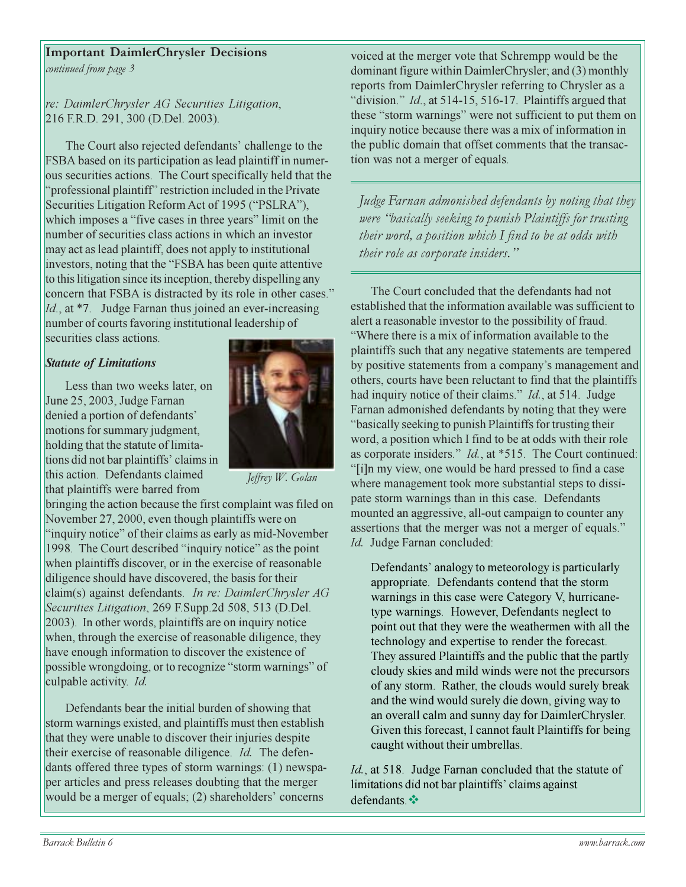#### **Important DaimlerChrysler Decisions**

continued from page 3

re: DaimlerChrysler AG Securities Litigation, 216 F.R.D. 291, 300 (D.Del. 2003).

The Court also rejected defendants' challenge to the FSBA based on its participation as lead plaintiff in numerous securities actions. The Court specifically held that the "professional plaintiff" restriction included in the Private Securities Litigation Reform Act of 1995 ("PSLRA"), which imposes a "five cases in three years" limit on the number of securities class actions in which an investor may act as lead plaintiff, does not apply to institutional investors, noting that the "FSBA has been quite attentive" to this litigation since its inception, thereby dispelling any concern that FSBA is distracted by its role in other cases." Id., at \*7. Judge Farnan thus joined an ever-increasing number of courts favoring institutional leadership of securities class actions.

#### **Statute of Limitations**

Less than two weeks later, on June 25, 2003, Judge Farnan denied a portion of defendants' motions for summary judgment, holding that the statute of limitations did not bar plaintiffs' claims in this action. Defendants claimed that plaintiffs were barred from



Jeffrey W. Golan

bringing the action because the first complaint was filed on November 27, 2000, even though plaintiffs were on "inquiry notice" of their claims as early as mid-November 1998. The Court described "inquiry notice" as the point when plaintiffs discover, or in the exercise of reasonable diligence should have discovered, the basis for their claim(s) against defendants. In re: DaimlerChrysler AG Securities Litigation, 269 F.Supp.2d 508, 513 (D.Del. 2003). In other words, plaintiffs are on inquiry notice when, through the exercise of reasonable diligence, they have enough information to discover the existence of possible wrongdoing, or to recognize "storm warnings" of culpable activity. Id.

Defendants bear the initial burden of showing that storm warnings existed, and plaintiffs must then establish that they were unable to discover their injuries despite their exercise of reasonable diligence. *Id*. The defendants offered three types of storm warnings: (1) newspaper articles and press releases doubting that the merger would be a merger of equals; (2) shareholders' concerns

voiced at the merger vote that Schrempp would be the dominant figure within DaimlerChrysler; and (3) monthly reports from DaimlerChrysler referring to Chrysler as a "division." Id., at 514-15, 516-17. Plaintiffs argued that these "storm warnings" were not sufficient to put them on inquiry notice because there was a mix of information in the public domain that offset comments that the transaction was not a merger of equals.

Judge Farnan admonished defendants by noting that they were "basically seeking to punish Plaintiffs for trusting their word, a position which I find to be at odds with their role as corporate insiders."

The Court concluded that the defendants had not established that the information available was sufficient to alert a reasonable investor to the possibility of fraud. "Where there is a mix of information available to the plaintiffs such that any negative statements are tempered by positive statements from a company's management and others, courts have been reluctant to find that the plaintiffs had inquiry notice of their claims." *Id.*, at 514. Judge Farnan admonished defendants by noting that they were "basically seeking to punish Plaintiffs for trusting their word, a position which I find to be at odds with their role as corporate insiders." *Id.*, at \*515. The Court continued: "[i]n my view, one would be hard pressed to find a case" where management took more substantial steps to dissipate storm warnings than in this case. Defendants mounted an aggressive, all-out campaign to counter any assertions that the merger was not a merger of equals." Id. Judge Farnan concluded:

Defendants' analogy to meteorology is particularly appropriate. Defendants contend that the storm warnings in this case were Category V, hurricanetype warnings. However, Defendants neglect to point out that they were the weathermen with all the technology and expertise to render the forecast. They assured Plaintiffs and the public that the partly cloudy skies and mild winds were not the precursors of any storm. Rather, the clouds would surely break and the wind would surely die down, giving way to an overall calm and sunny day for DaimlerChrysler. Given this forecast, I cannot fault Plaintiffs for being caught without their umbrellas.

Id., at 518. Judge Farnan concluded that the statute of limitations did not bar plaintiffs' claims against defendants.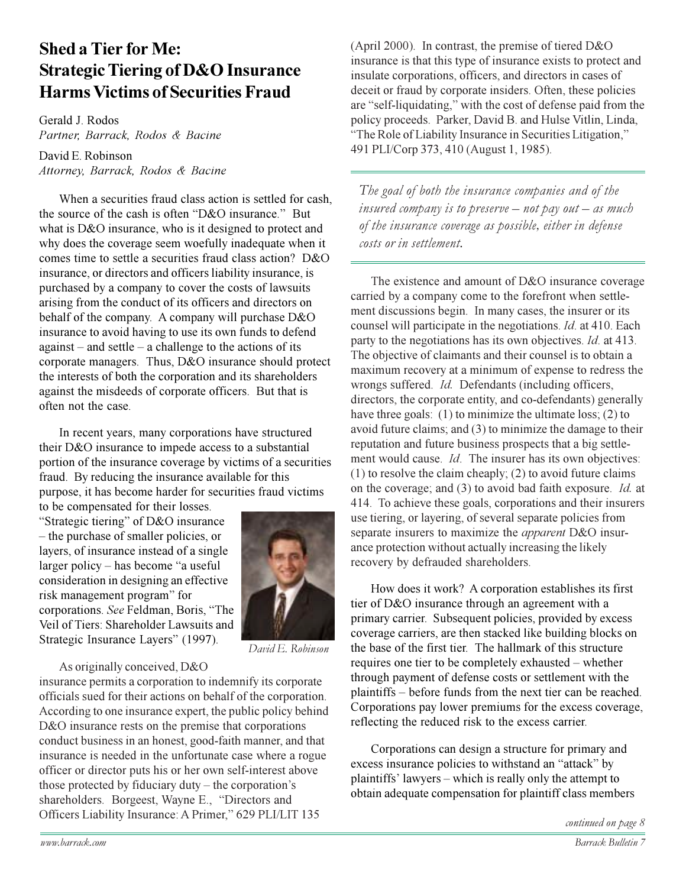## **Shed a Tier for Me: Strategic Tiering of D&O Insurance Harms Victims of Securities Fraud**

Gerald J. Rodos Partner, Barrack, Rodos & Bacine

David E. Robinson Attorney, Barrack, Rodos & Bacine

When a securities fraud class action is settled for cash, the source of the cash is often "D&O insurance." But what is D&O insurance, who is it designed to protect and why does the coverage seem woefully inadequate when it comes time to settle a securities fraud class action? D&O insurance, or directors and officers liability insurance, is purchased by a company to cover the costs of lawsuits arising from the conduct of its officers and directors on behalf of the company. A company will purchase D&O insurance to avoid having to use its own funds to defend  $against - and settle - a challenge to the actions of its$ corporate managers. Thus, D&O insurance should protect the interests of both the corporation and its shareholders against the misdeeds of corporate officers. But that is often not the case.

In recent years, many corporations have structured their D&O insurance to impede access to a substantial portion of the insurance coverage by victims of a securities fraud. By reducing the insurance available for this purpose, it has become harder for securities fraud victims

to be compensated for their losses. "Strategic tiering" of D&O insurance - the purchase of smaller policies, or layers, of insurance instead of a single larger policy – has become "a useful" consideration in designing an effective risk management program" for corporations. See Feldman, Boris, "The Veil of Tiers: Shareholder Lawsuits and Strategic Insurance Layers" (1997).



David E. Robinson

#### As originally conceived, D&O

insurance permits a corporation to indemnify its corporate officials sued for their actions on behalf of the corporation. According to one insurance expert, the public policy behind D&O insurance rests on the premise that corporations conduct business in an honest, good-faith manner, and that insurance is needed in the unfortunate case where a rogue officer or director puts his or her own self-interest above those protected by fiduciary duty  $-$  the corporation's shareholders. Borgeest, Wayne E., "Directors and Officers Liability Insurance: A Primer," 629 PLI/LIT 135

(April 2000). In contrast, the premise of tiered  $D&O$ insurance is that this type of insurance exists to protect and insulate corporations, officers, and directors in cases of deceit or fraud by corporate insiders. Often, these policies are "self-liquidating," with the cost of defense paid from the policy proceeds. Parker, David B. and Hulse Vitlin, Linda, "The Role of Liability Insurance in Securities Litigation," 491 PLI/Corp 373, 410 (August 1, 1985).

The goal of both the insurance companies and of the insured company is to preserve – not pay out – as much of the insurance coverage as possible, either in defense costs or in settlement.

The existence and amount of D&O insurance coverage carried by a company come to the forefront when settlement discussions begin. In many cases, the insurer or its counsel will participate in the negotiations. *Id.* at 410. Each party to the negotiations has its own objectives. *Id.* at 413. The objective of claimants and their counsel is to obtain a maximum recovery at a minimum of expense to redress the wrongs suffered. *Id.* Defendants (including officers. directors, the corporate entity, and co-defendants) generally have three goals:  $(1)$  to minimize the ultimate loss;  $(2)$  to avoid future claims; and  $(3)$  to minimize the damage to their reputation and future business prospects that a big settlement would cause. *Id*. The insurer has its own objectives:  $(1)$  to resolve the claim cheaply;  $(2)$  to avoid future claims on the coverage; and (3) to avoid bad faith exposure. Id. at 414. To achieve these goals, corporations and their insurers use tiering, or layering, of several separate policies from separate insurers to maximize the *apparent* D&O insurance protection without actually increasing the likely recovery by defrauded shareholders.

How does it work? A corporation establishes its first tier of D&O insurance through an agreement with a primary carrier. Subsequent policies, provided by excess coverage carriers, are then stacked like building blocks on the base of the first tier. The hallmark of this structure requires one tier to be completely exhausted – whether through payment of defense costs or settlement with the plaintiffs – before funds from the next tier can be reached. Corporations pay lower premiums for the excess coverage, reflecting the reduced risk to the excess carrier.

Corporations can design a structure for primary and excess insurance policies to withstand an "attack" by plaintiffs' lawyers – which is really only the attempt to obtain adequate compensation for plaintiff class members